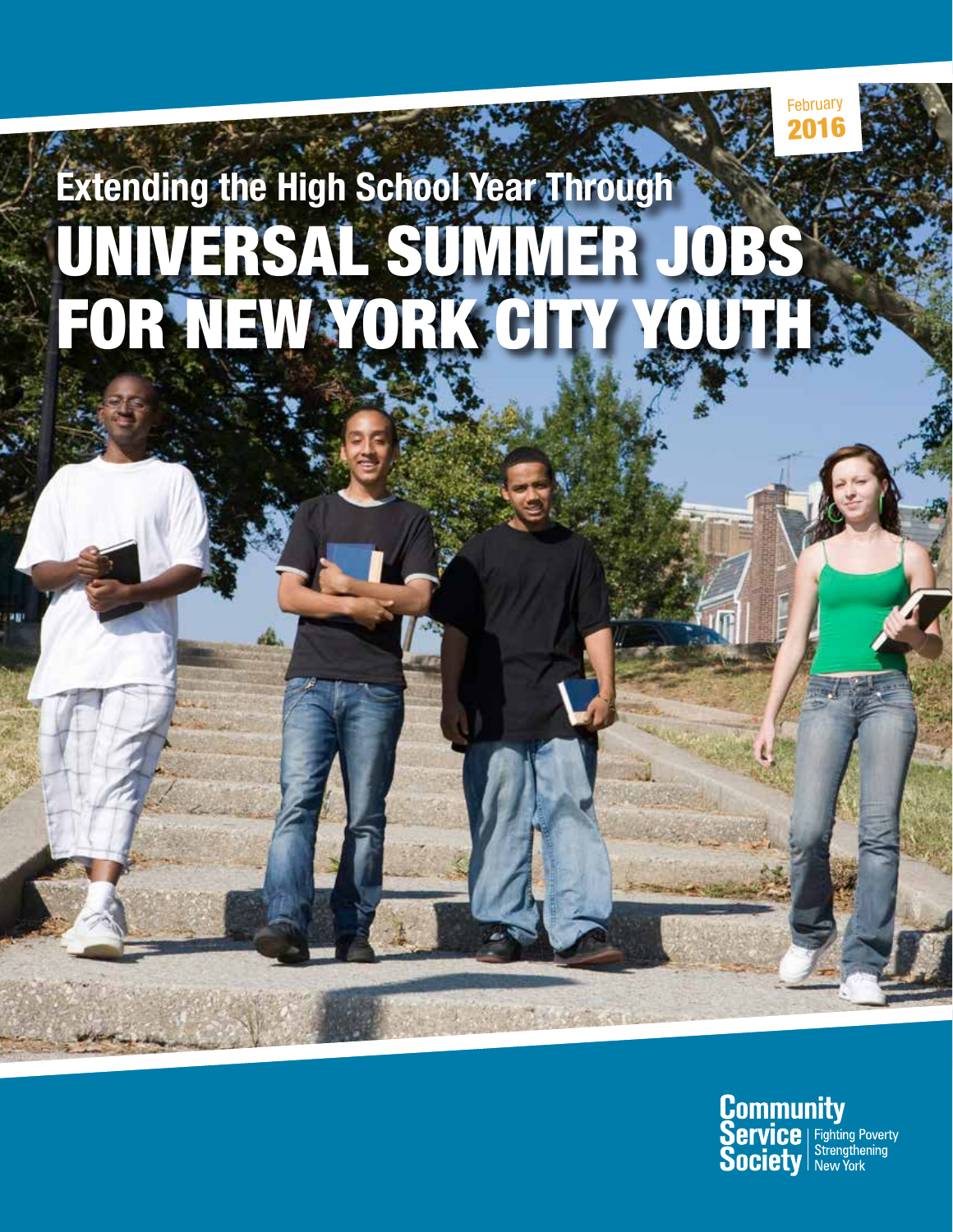# UNIVERSAL SUMMER JOBS FOR NEW YORK CITY YOUTH **Extending the High School Year Through**



2016 February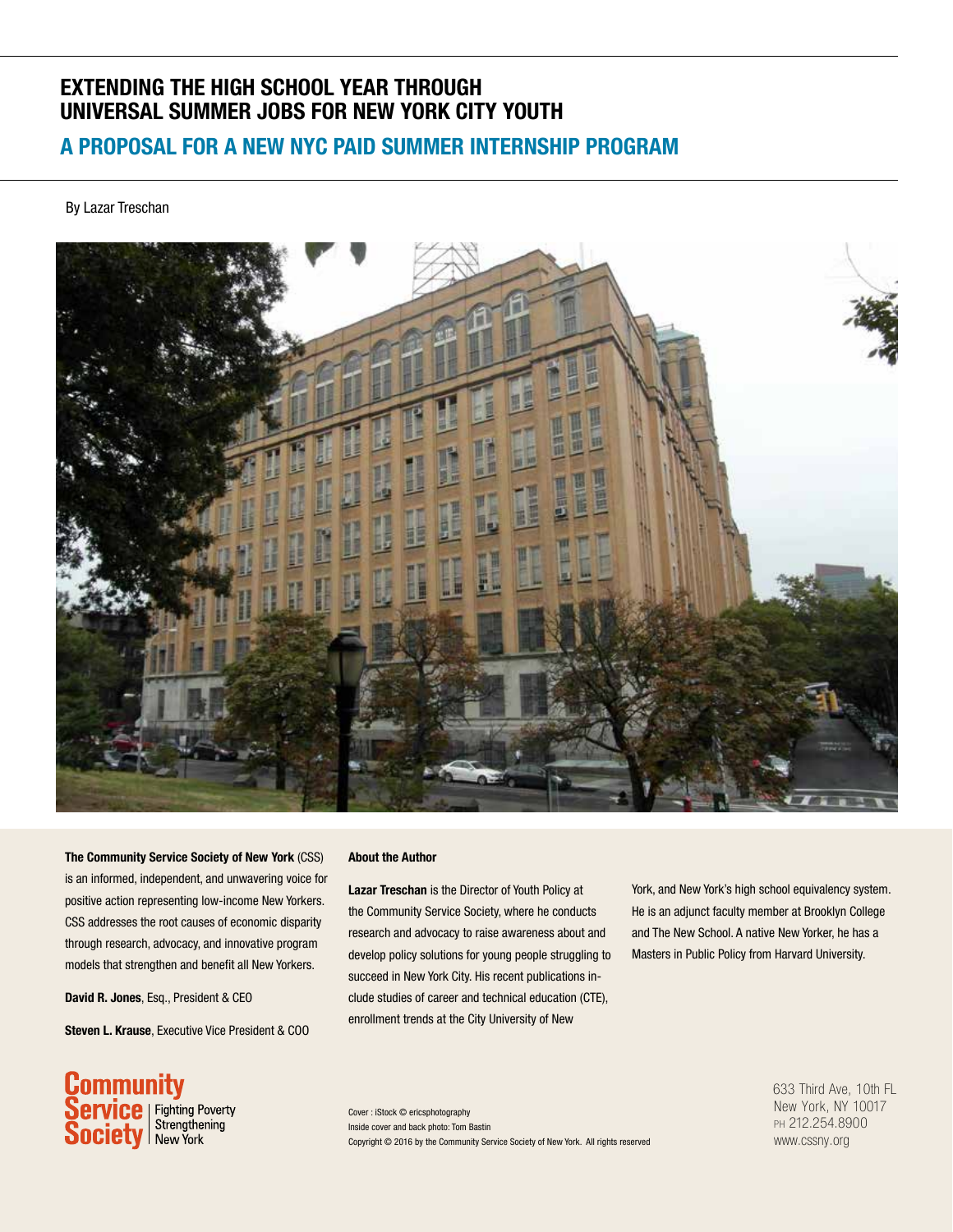# **EXTENDING THE HIGH SCHOOL YEAR THROUGH UNIVERSAL SUMMER JOBS FOR NEW YORK CITY YOUTH**

# **A PROPOSAL FOR A NEW NYC PAID SUMMER INTERNSHIP PROGRAM**

By Lazar Treschan



**The Community Service Society of New York** (CSS) is an informed, independent, and unwavering voice for positive action representing low-income New Yorkers. CSS addresses the root causes of economic disparity through research, advocacy, and innovative program models that strengthen and benefit all New Yorkers.

**David R. Jones**, Esq., President & CEO

**Steven L. Krause**, Executive Vice President & COO

#### **About the Author**

**Lazar Treschan** is the Director of Youth Policy at the Community Service Society, where he conducts research and advocacy to raise awareness about and develop policy solutions for young people struggling to succeed in New York City. His recent publications include studies of career and technical education (CTE), enrollment trends at the City University of New

York, and New York's high school equivalency system. He is an adjunct faculty member at Brooklyn College and The New School. A native New Yorker, he has a Masters in Public Policy from Harvard University.

**Community**<br>Service | Fighting Poverty<br>Society | Strengthening

Inside cover and back photo: Tom Bastin Copyright © 2016 by the Community Service Society of New York. All rights reserved Cover : iStock © ericsphotography

633 Third Ave, 10th FL New York, NY 10017 ph 212.254.8900 www.cssny.org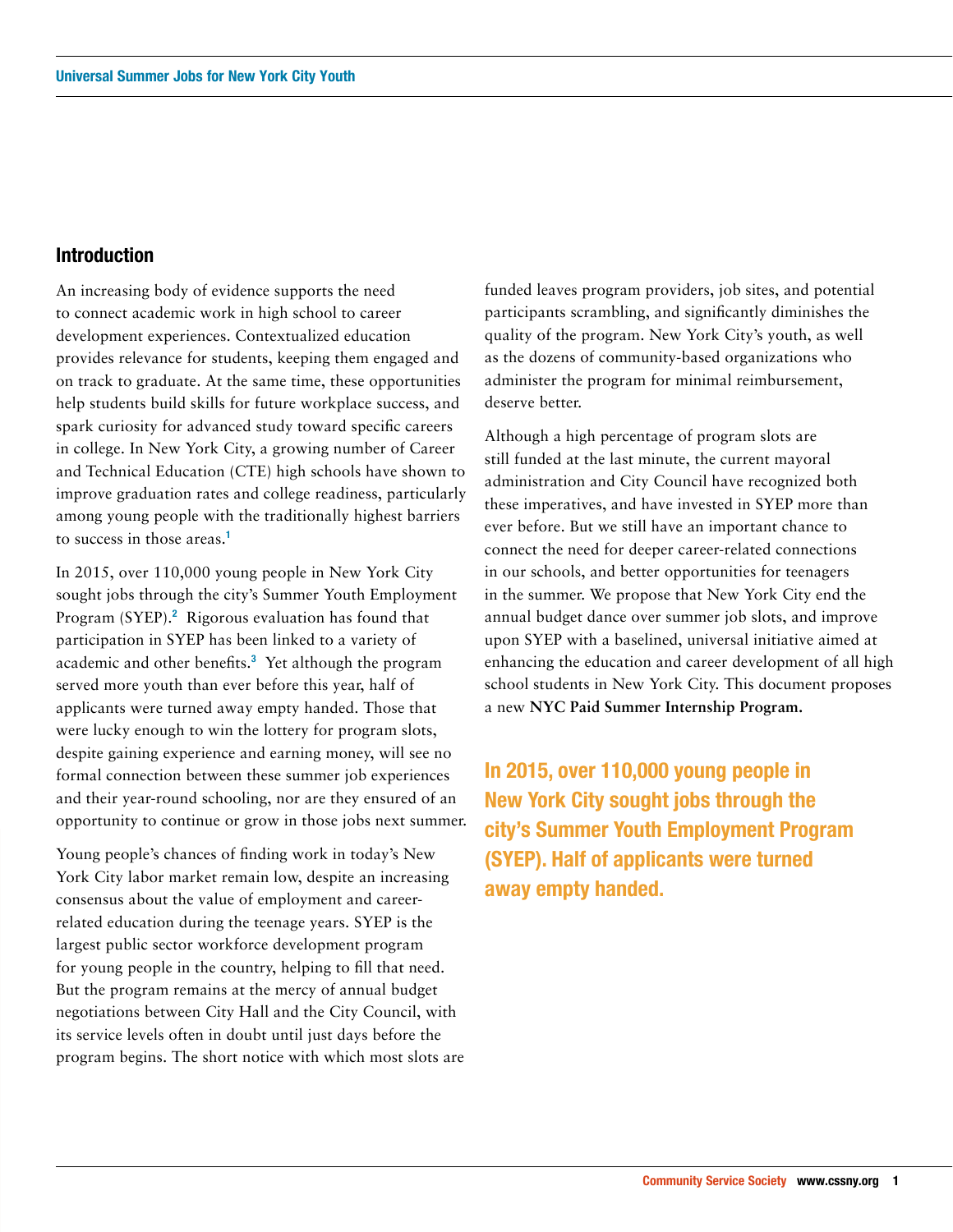## **Introduction**

An increasing body of evidence supports the need to connect academic work in high school to career development experiences. Contextualized education provides relevance for students, keeping them engaged and on track to graduate. At the same time, these opportunities help students build skills for future workplace success, and spark curiosity for advanced study toward specific careers in college. In New York City, a growing number of Career and Technical Education (CTE) high schools have shown to improve graduation rates and college readiness, particularly among young people with the traditionally highest barriers to success in those areas.**<sup>1</sup>**

In 2015, over 110,000 young people in New York City sought jobs through the city's Summer Youth Employment Program (SYEP).<sup>2</sup> Rigorous evaluation has found that participation in SYEP has been linked to a variety of academic and other benefits.**<sup>3</sup>** Yet although the program served more youth than ever before this year, half of applicants were turned away empty handed. Those that were lucky enough to win the lottery for program slots, despite gaining experience and earning money, will see no formal connection between these summer job experiences and their year-round schooling, nor are they ensured of an opportunity to continue or grow in those jobs next summer.

Young people's chances of finding work in today's New York City labor market remain low, despite an increasing consensus about the value of employment and careerrelated education during the teenage years. SYEP is the largest public sector workforce development program for young people in the country, helping to fill that need. But the program remains at the mercy of annual budget negotiations between City Hall and the City Council, with its service levels often in doubt until just days before the program begins. The short notice with which most slots are funded leaves program providers, job sites, and potential participants scrambling, and significantly diminishes the quality of the program. New York City's youth, as well as the dozens of community-based organizations who administer the program for minimal reimbursement, deserve better.

Although a high percentage of program slots are still funded at the last minute, the current mayoral administration and City Council have recognized both these imperatives, and have invested in SYEP more than ever before. But we still have an important chance to connect the need for deeper career-related connections in our schools, and better opportunities for teenagers in the summer. We propose that New York City end the annual budget dance over summer job slots, and improve upon SYEP with a baselined, universal initiative aimed at enhancing the education and career development of all high school students in New York City. This document proposes a new **NYC Paid Summer Internship Program.**

**In 2015, over 110,000 young people in New York City sought jobs through the city's Summer Youth Employment Program (SYEP). Half of applicants were turned away empty handed.**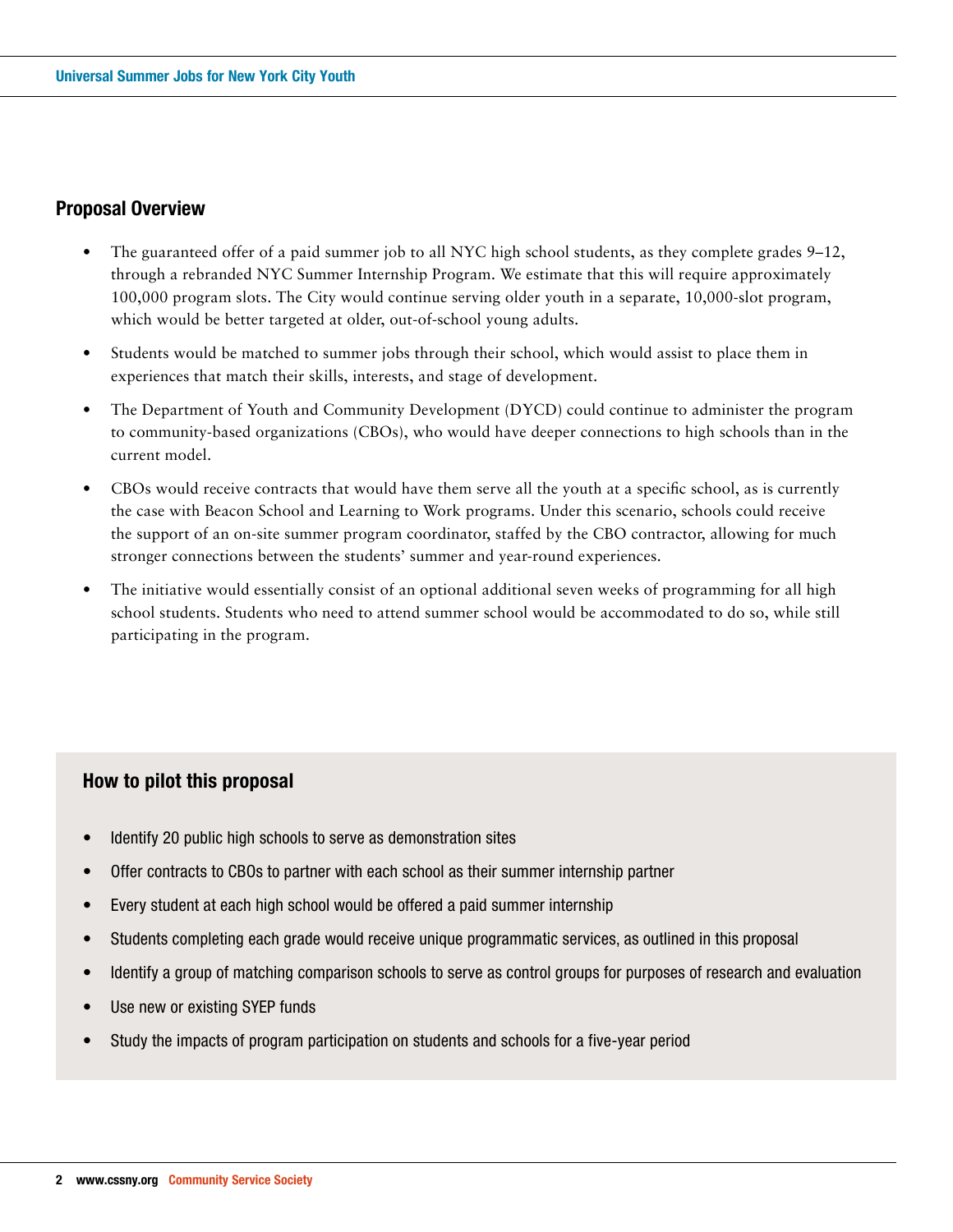# **Proposal Overview**

- The guaranteed offer of a paid summer job to all NYC high school students, as they complete grades 9–12, through a rebranded NYC Summer Internship Program. We estimate that this will require approximately 100,000 program slots. The City would continue serving older youth in a separate, 10,000-slot program, which would be better targeted at older, out-of-school young adults.
- Students would be matched to summer jobs through their school, which would assist to place them in experiences that match their skills, interests, and stage of development.
- The Department of Youth and Community Development (DYCD) could continue to administer the program to community-based organizations (CBOs), who would have deeper connections to high schools than in the current model.
- CBOs would receive contracts that would have them serve all the youth at a specific school, as is currently the case with Beacon School and Learning to Work programs. Under this scenario, schools could receive the support of an on-site summer program coordinator, staffed by the CBO contractor, allowing for much stronger connections between the students' summer and year-round experiences.
- The initiative would essentially consist of an optional additional seven weeks of programming for all high school students. Students who need to attend summer school would be accommodated to do so, while still participating in the program.

## **How to pilot this proposal**

- Identify 20 public high schools to serve as demonstration sites
- Offer contracts to CBOs to partner with each school as their summer internship partner
- Every student at each high school would be offered a paid summer internship
- Students completing each grade would receive unique programmatic services, as outlined in this proposal
- Identify a group of matching comparison schools to serve as control groups for purposes of research and evaluation
- Use new or existing SYEP funds
- Study the impacts of program participation on students and schools for a five-year period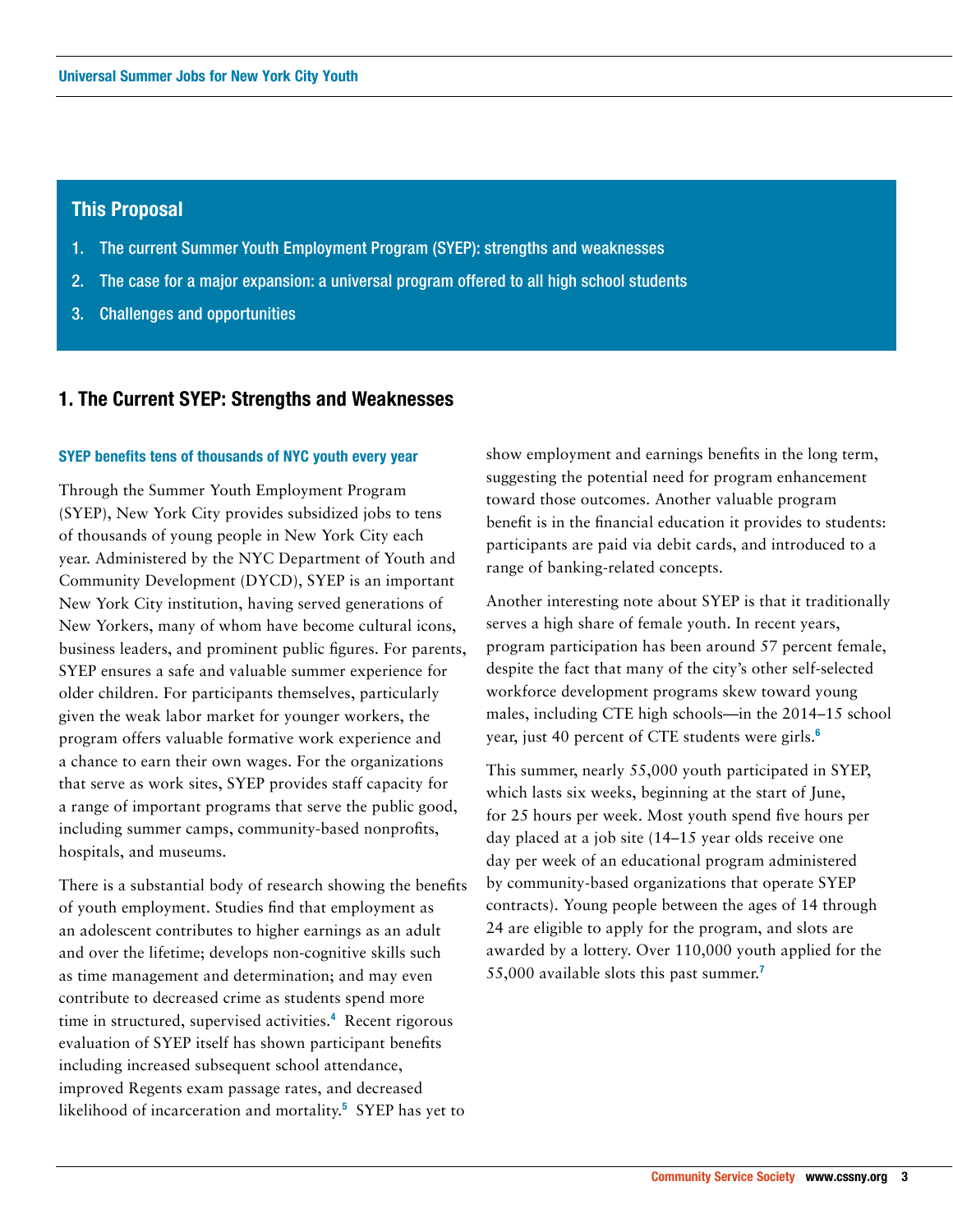## **This Proposal**

- 1. The current Summer Youth Employment Program (SYEP): strengths and weaknesses
- 2. The case for a major expansion: a universal program offered to all high school students
- 3. Challenges and opportunities

## **1. The Current SYEP: Strengths and Weaknesses**

### **SYEP benefits tens of thousands of NYC youth every year**

Through the Summer Youth Employment Program (SYEP), New York City provides subsidized jobs to tens of thousands of young people in New York City each year. Administered by the NYC Department of Youth and Community Development (DYCD), SYEP is an important New York City institution, having served generations of New Yorkers, many of whom have become cultural icons, business leaders, and prominent public figures. For parents, SYEP ensures a safe and valuable summer experience for older children. For participants themselves, particularly given the weak labor market for younger workers, the program offers valuable formative work experience and a chance to earn their own wages. For the organizations that serve as work sites, SYEP provides staff capacity for a range of important programs that serve the public good, including summer camps, community-based nonprofits, hospitals, and museums.

There is a substantial body of research showing the benefits of youth employment. Studies find that employment as an adolescent contributes to higher earnings as an adult and over the lifetime; develops non-cognitive skills such as time management and determination; and may even contribute to decreased crime as students spend more time in structured, supervised activities.**<sup>4</sup>** Recent rigorous evaluation of SYEP itself has shown participant benefits including increased subsequent school attendance, improved Regents exam passage rates, and decreased likelihood of incarceration and mortality.**<sup>5</sup>** SYEP has yet to show employment and earnings benefits in the long term, suggesting the potential need for program enhancement toward those outcomes. Another valuable program benefit is in the financial education it provides to students: participants are paid via debit cards, and introduced to a range of banking-related concepts.

Another interesting note about SYEP is that it traditionally serves a high share of female youth. In recent years, program participation has been around 57 percent female, despite the fact that many of the city's other self-selected workforce development programs skew toward young males, including CTE high schools—in the 2014–15 school year, just 40 percent of CTE students were girls.**<sup>6</sup>**

This summer, nearly 55,000 youth participated in SYEP, which lasts six weeks, beginning at the start of June, for 25 hours per week. Most youth spend five hours per day placed at a job site (14–15 year olds receive one day per week of an educational program administered by community-based organizations that operate SYEP contracts). Young people between the ages of 14 through 24 are eligible to apply for the program, and slots are awarded by a lottery. Over 110,000 youth applied for the 55,000 available slots this past summer.**<sup>7</sup>**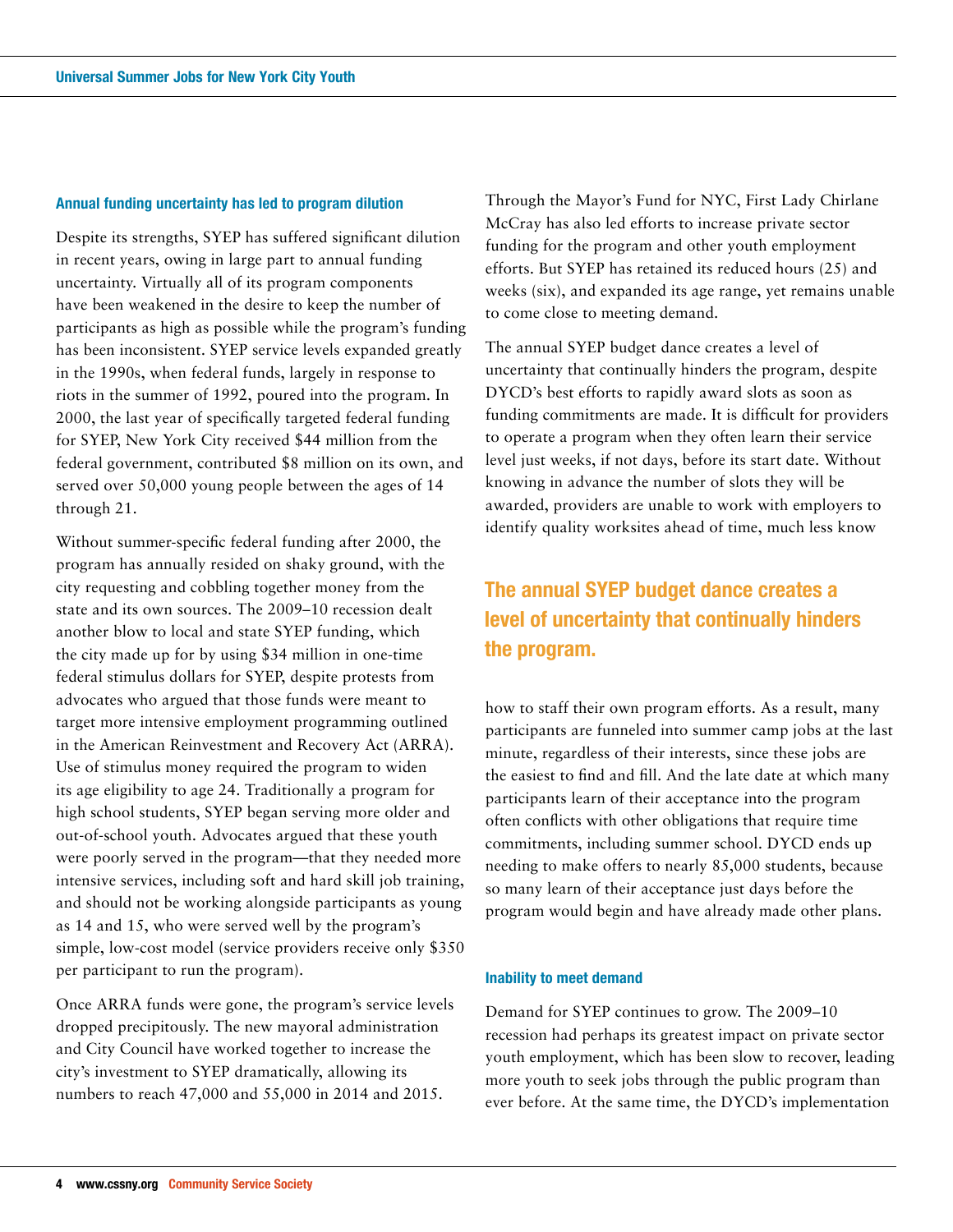## **Annual funding uncertainty has led to program dilution**

Despite its strengths, SYEP has suffered significant dilution in recent years, owing in large part to annual funding uncertainty. Virtually all of its program components have been weakened in the desire to keep the number of participants as high as possible while the program's funding has been inconsistent. SYEP service levels expanded greatly in the 1990s, when federal funds, largely in response to riots in the summer of 1992, poured into the program. In 2000, the last year of specifically targeted federal funding for SYEP, New York City received \$44 million from the federal government, contributed \$8 million on its own, and served over 50,000 young people between the ages of 14 through 21.

Without summer-specific federal funding after 2000, the program has annually resided on shaky ground, with the city requesting and cobbling together money from the state and its own sources. The 2009–10 recession dealt another blow to local and state SYEP funding, which the city made up for by using \$34 million in one-time federal stimulus dollars for SYEP, despite protests from advocates who argued that those funds were meant to target more intensive employment programming outlined in the American Reinvestment and Recovery Act (ARRA). Use of stimulus money required the program to widen its age eligibility to age 24. Traditionally a program for high school students, SYEP began serving more older and out-of-school youth. Advocates argued that these youth were poorly served in the program—that they needed more intensive services, including soft and hard skill job training, and should not be working alongside participants as young as 14 and 15, who were served well by the program's simple, low-cost model (service providers receive only \$350 per participant to run the program).

Once ARRA funds were gone, the program's service levels dropped precipitously. The new mayoral administration and City Council have worked together to increase the city's investment to SYEP dramatically, allowing its numbers to reach 47,000 and 55,000 in 2014 and 2015.

Through the Mayor's Fund for NYC, First Lady Chirlane McCray has also led efforts to increase private sector funding for the program and other youth employment efforts. But SYEP has retained its reduced hours (25) and weeks (six), and expanded its age range, yet remains unable to come close to meeting demand.

The annual SYEP budget dance creates a level of uncertainty that continually hinders the program, despite DYCD's best efforts to rapidly award slots as soon as funding commitments are made. It is difficult for providers to operate a program when they often learn their service level just weeks, if not days, before its start date. Without knowing in advance the number of slots they will be awarded, providers are unable to work with employers to identify quality worksites ahead of time, much less know

# **The annual SYEP budget dance creates a level of uncertainty that continually hinders the program.**

how to staff their own program efforts. As a result, many participants are funneled into summer camp jobs at the last minute, regardless of their interests, since these jobs are the easiest to find and fill. And the late date at which many participants learn of their acceptance into the program often conflicts with other obligations that require time commitments, including summer school. DYCD ends up needing to make offers to nearly 85,000 students, because so many learn of their acceptance just days before the program would begin and have already made other plans.

### **Inability to meet demand**

Demand for SYEP continues to grow. The 2009–10 recession had perhaps its greatest impact on private sector youth employment, which has been slow to recover, leading more youth to seek jobs through the public program than ever before. At the same time, the DYCD's implementation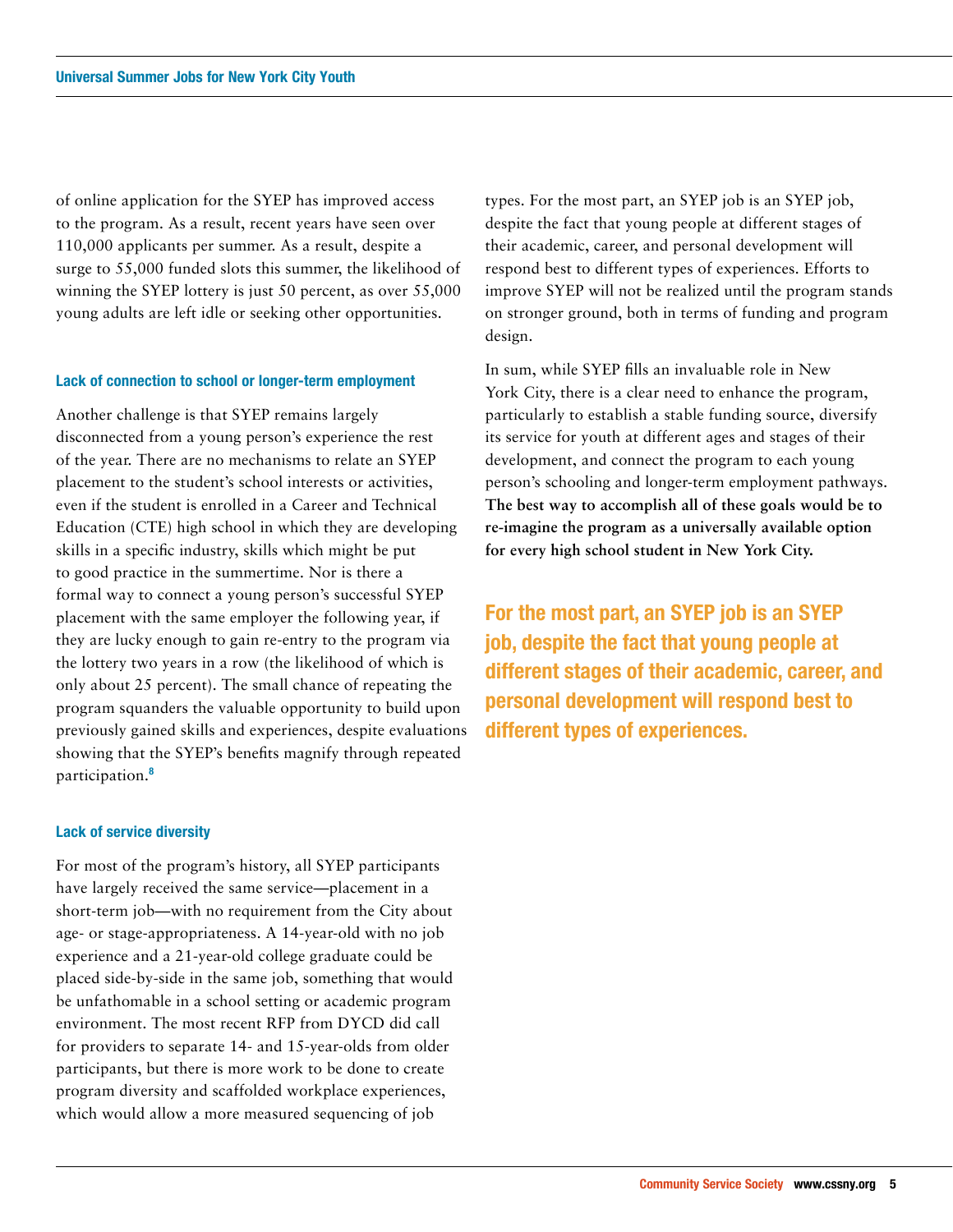of online application for the SYEP has improved access to the program. As a result, recent years have seen over 110,000 applicants per summer. As a result, despite a surge to 55,000 funded slots this summer, the likelihood of winning the SYEP lottery is just 50 percent, as over 55,000 young adults are left idle or seeking other opportunities.

#### **Lack of connection to school or longer-term employment**

Another challenge is that SYEP remains largely disconnected from a young person's experience the rest of the year. There are no mechanisms to relate an SYEP placement to the student's school interests or activities, even if the student is enrolled in a Career and Technical Education (CTE) high school in which they are developing skills in a specific industry, skills which might be put to good practice in the summertime. Nor is there a formal way to connect a young person's successful SYEP placement with the same employer the following year, if they are lucky enough to gain re-entry to the program via the lottery two years in a row (the likelihood of which is only about 25 percent). The small chance of repeating the program squanders the valuable opportunity to build upon previously gained skills and experiences, despite evaluations showing that the SYEP's benefits magnify through repeated participation.**<sup>8</sup>**

#### **Lack of service diversity**

For most of the program's history, all SYEP participants have largely received the same service—placement in a short-term job—with no requirement from the City about age- or stage-appropriateness. A 14-year-old with no job experience and a 21-year-old college graduate could be placed side-by-side in the same job, something that would be unfathomable in a school setting or academic program environment. The most recent RFP from DYCD did call for providers to separate 14- and 15-year-olds from older participants, but there is more work to be done to create program diversity and scaffolded workplace experiences, which would allow a more measured sequencing of job

types. For the most part, an SYEP job is an SYEP job, despite the fact that young people at different stages of their academic, career, and personal development will respond best to different types of experiences. Efforts to improve SYEP will not be realized until the program stands on stronger ground, both in terms of funding and program design.

In sum, while SYEP fills an invaluable role in New York City, there is a clear need to enhance the program, particularly to establish a stable funding source, diversify its service for youth at different ages and stages of their development, and connect the program to each young person's schooling and longer-term employment pathways. **The best way to accomplish all of these goals would be to re-imagine the program as a universally available option for every high school student in New York City.**

**For the most part, an SYEP job is an SYEP job, despite the fact that young people at different stages of their academic, career, and personal development will respond best to different types of experiences.**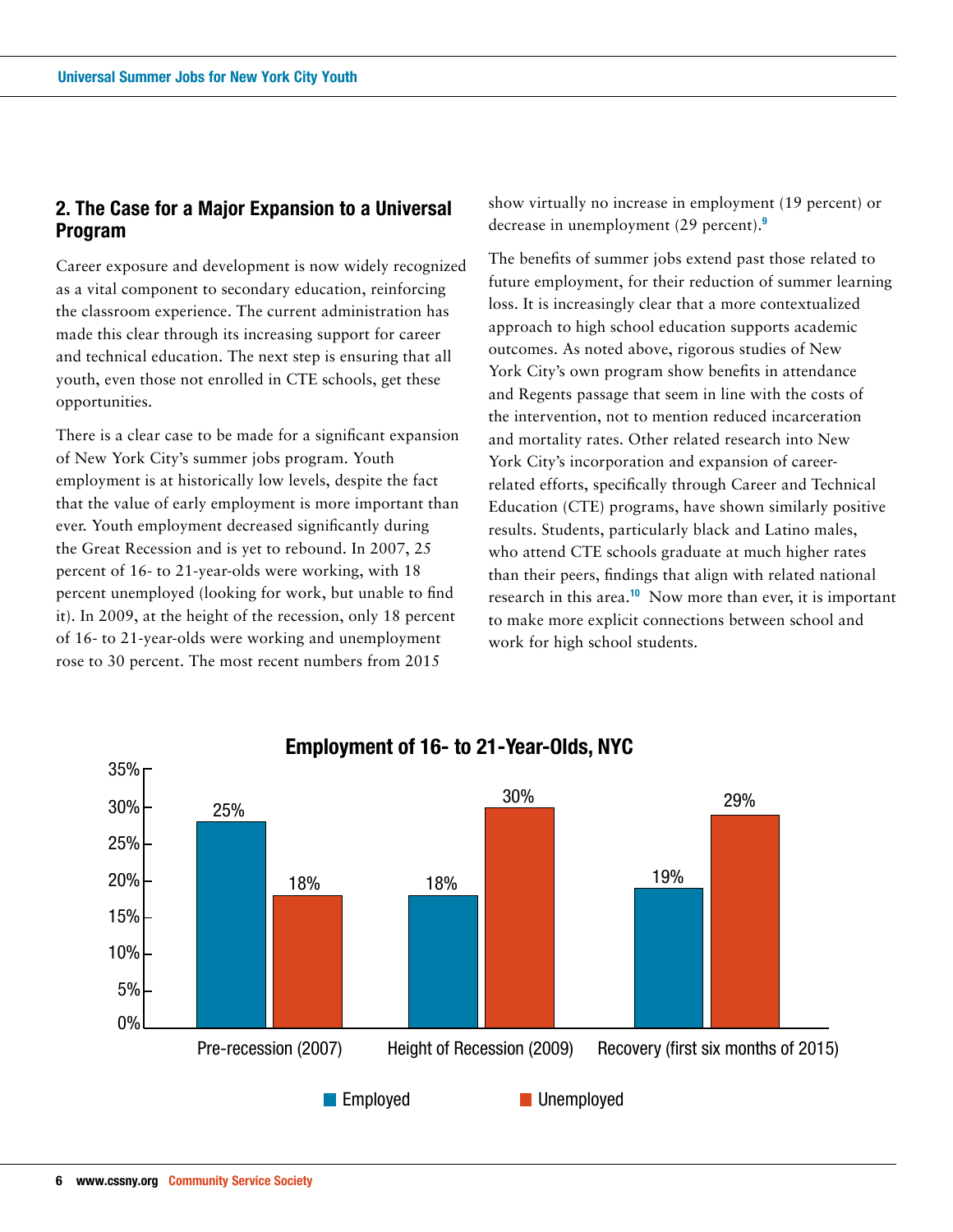# **2. The Case for a Major Expansion to a Universal Program**

Career exposure and development is now widely recognized as a vital component to secondary education, reinforcing the classroom experience. The current administration has made this clear through its increasing support for career and technical education. The next step is ensuring that all youth, even those not enrolled in CTE schools, get these opportunities.

There is a clear case to be made for a significant expansion of New York City's summer jobs program. Youth employment is at historically low levels, despite the fact that the value of early employment is more important than ever. Youth employment decreased significantly during the Great Recession and is yet to rebound. In 2007, 25 percent of 16- to 21-year-olds were working, with 18 percent unemployed (looking for work, but unable to find it). In 2009, at the height of the recession, only 18 percent of 16- to 21-year-olds were working and unemployment rose to 30 percent. The most recent numbers from 2015

show virtually no increase in employment (19 percent) or decrease in unemployment (29 percent).**<sup>9</sup>**

The benefits of summer jobs extend past those related to future employment, for their reduction of summer learning loss. It is increasingly clear that a more contextualized approach to high school education supports academic outcomes. As noted above, rigorous studies of New York City's own program show benefits in attendance and Regents passage that seem in line with the costs of the intervention, not to mention reduced incarceration and mortality rates. Other related research into New York City's incorporation and expansion of careerrelated efforts, specifically through Career and Technical Education (CTE) programs, have shown similarly positive results. Students, particularly black and Latino males, who attend CTE schools graduate at much higher rates than their peers, findings that align with related national research in this area.**<sup>10</sup>** Now more than ever, it is important to make more explicit connections between school and work for high school students.

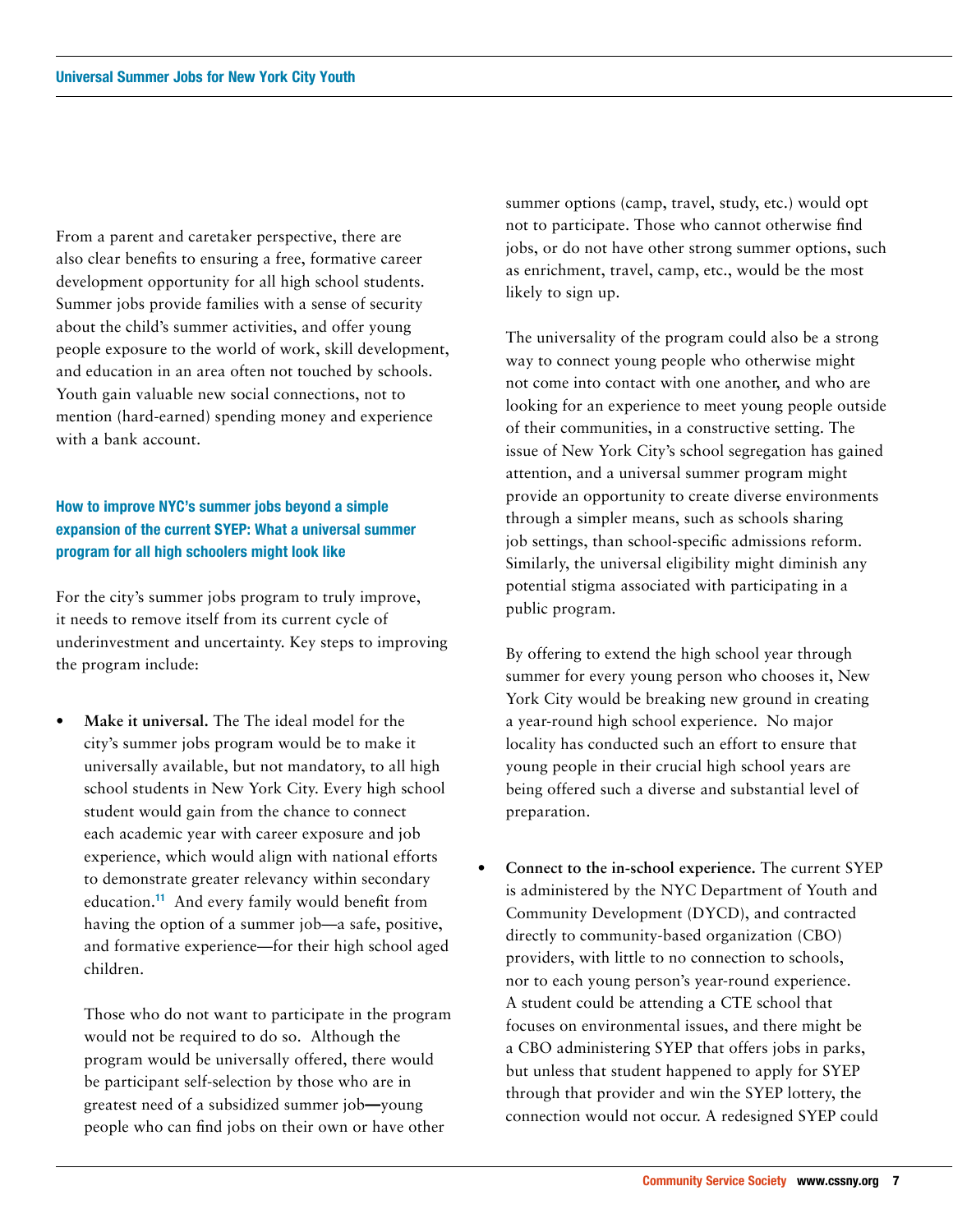From a parent and caretaker perspective, there are also clear benefits to ensuring a free, formative career development opportunity for all high school students. Summer jobs provide families with a sense of security about the child's summer activities, and offer young people exposure to the world of work, skill development, and education in an area often not touched by schools. Youth gain valuable new social connections, not to mention (hard-earned) spending money and experience with a bank account.

# **How to improve NYC's summer jobs beyond a simple expansion of the current SYEP: What a universal summer program for all high schoolers might look like**

For the city's summer jobs program to truly improve, it needs to remove itself from its current cycle of underinvestment and uncertainty. Key steps to improving the program include:

**• Make it universal.** The The ideal model for the city's summer jobs program would be to make it universally available, but not mandatory, to all high school students in New York City. Every high school student would gain from the chance to connect each academic year with career exposure and job experience, which would align with national efforts to demonstrate greater relevancy within secondary education.**<sup>11</sup>** And every family would benefit from having the option of a summer job—a safe, positive, and formative experience—for their high school aged children.

Those who do not want to participate in the program would not be required to do so. Although the program would be universally offered, there would be participant self-selection by those who are in greatest need of a subsidized summer job**—**young people who can find jobs on their own or have other

summer options (camp, travel, study, etc.) would opt not to participate. Those who cannot otherwise find jobs, or do not have other strong summer options, such as enrichment, travel, camp, etc., would be the most likely to sign up.

The universality of the program could also be a strong way to connect young people who otherwise might not come into contact with one another, and who are looking for an experience to meet young people outside of their communities, in a constructive setting. The issue of New York City's school segregation has gained attention, and a universal summer program might provide an opportunity to create diverse environments through a simpler means, such as schools sharing job settings, than school-specific admissions reform. Similarly, the universal eligibility might diminish any potential stigma associated with participating in a public program.

By offering to extend the high school year through summer for every young person who chooses it, New York City would be breaking new ground in creating a year-round high school experience. No major locality has conducted such an effort to ensure that young people in their crucial high school years are being offered such a diverse and substantial level of preparation.

**• Connect to the in-school experience.** The current SYEP is administered by the NYC Department of Youth and Community Development (DYCD), and contracted directly to community-based organization (CBO) providers, with little to no connection to schools, nor to each young person's year-round experience. A student could be attending a CTE school that focuses on environmental issues, and there might be a CBO administering SYEP that offers jobs in parks, but unless that student happened to apply for SYEP through that provider and win the SYEP lottery, the connection would not occur. A redesigned SYEP could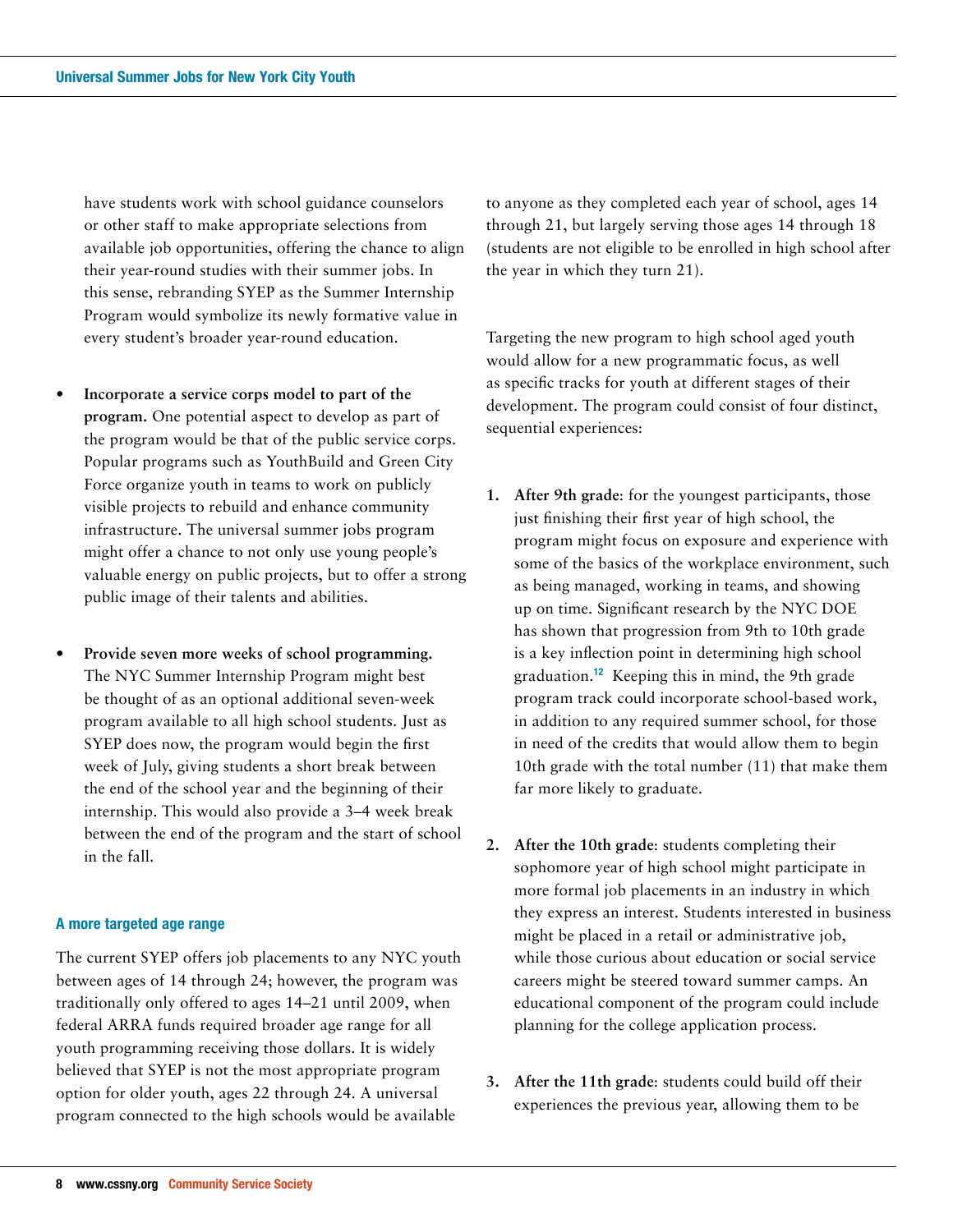have students work with school guidance counselors or other staff to make appropriate selections from available job opportunities, offering the chance to align their year-round studies with their summer jobs. In this sense, rebranding SYEP as the Summer Internship Program would symbolize its newly formative value in every student's broader year-round education.

- **• Incorporate a service corps model to part of the program.** One potential aspect to develop as part of the program would be that of the public service corps. Popular programs such as YouthBuild and Green City Force organize youth in teams to work on publicly visible projects to rebuild and enhance community infrastructure. The universal summer jobs program might offer a chance to not only use young people's valuable energy on public projects, but to offer a strong public image of their talents and abilities.
- **• Provide seven more weeks of school programming.**  The NYC Summer Internship Program might best be thought of as an optional additional seven-week program available to all high school students. Just as SYEP does now, the program would begin the first week of July, giving students a short break between the end of the school year and the beginning of their internship. This would also provide a 3–4 week break between the end of the program and the start of school in the fall.

## **A more targeted age range**

The current SYEP offers job placements to any NYC youth between ages of 14 through 24; however, the program was traditionally only offered to ages 14–21 until 2009, when federal ARRA funds required broader age range for all youth programming receiving those dollars. It is widely believed that SYEP is not the most appropriate program option for older youth, ages 22 through 24. A universal program connected to the high schools would be available

to anyone as they completed each year of school, ages 14 through 21, but largely serving those ages 14 through 18 (students are not eligible to be enrolled in high school after the year in which they turn 21).

Targeting the new program to high school aged youth would allow for a new programmatic focus, as well as specific tracks for youth at different stages of their development. The program could consist of four distinct, sequential experiences:

- **1. After 9th grade**: for the youngest participants, those just finishing their first year of high school, the program might focus on exposure and experience with some of the basics of the workplace environment, such as being managed, working in teams, and showing up on time. Significant research by the NYC DOE has shown that progression from 9th to 10th grade is a key inflection point in determining high school graduation.**<sup>12</sup>** Keeping this in mind, the 9th grade program track could incorporate school-based work, in addition to any required summer school, for those in need of the credits that would allow them to begin 10th grade with the total number (11) that make them far more likely to graduate.
- **2. After the 10th grade**: students completing their sophomore year of high school might participate in more formal job placements in an industry in which they express an interest. Students interested in business might be placed in a retail or administrative job, while those curious about education or social service careers might be steered toward summer camps. An educational component of the program could include planning for the college application process.
- **3. After the 11th grade**: students could build off their experiences the previous year, allowing them to be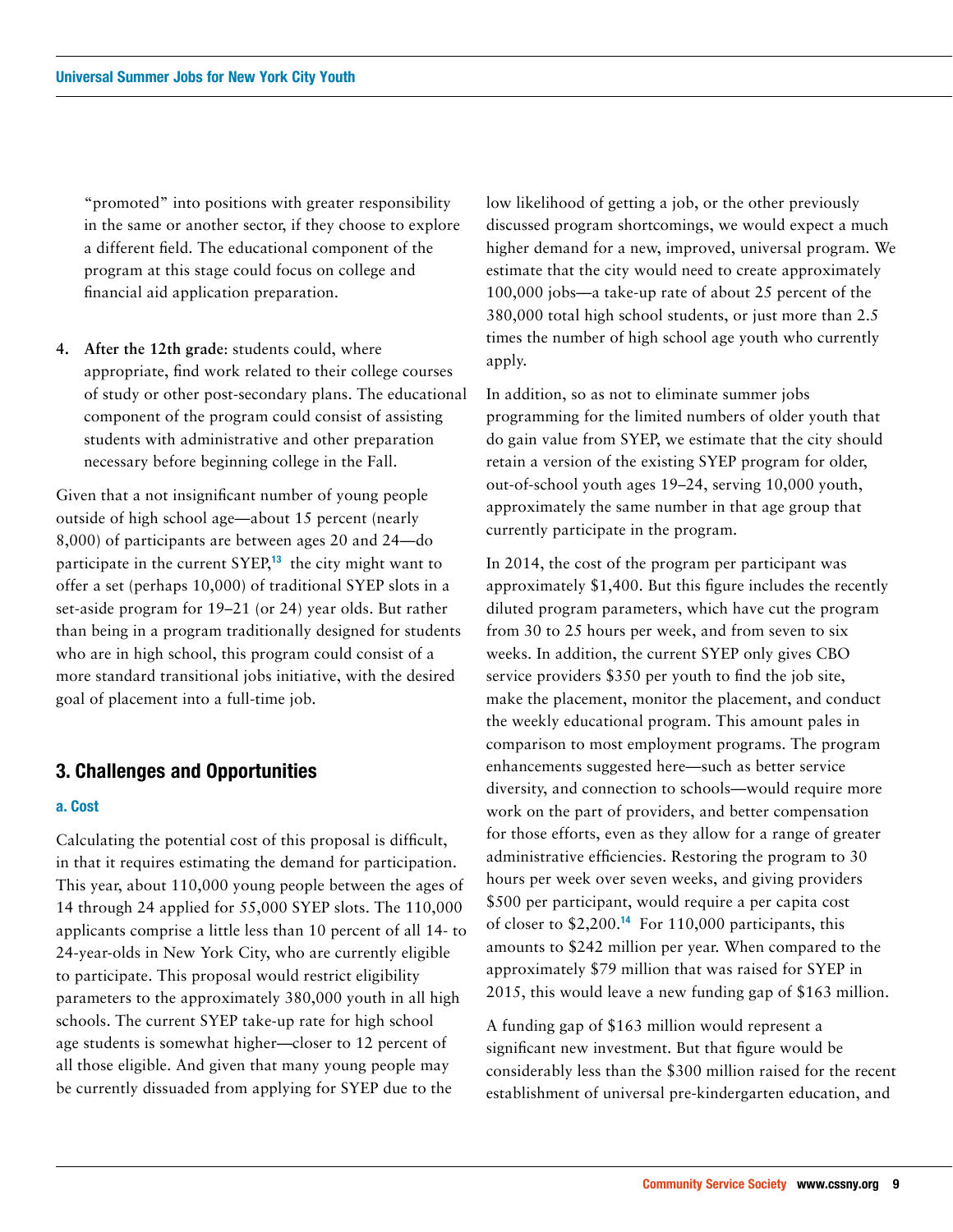"promoted" into positions with greater responsibility in the same or another sector, if they choose to explore a different field. The educational component of the program at this stage could focus on college and financial aid application preparation.

**4. After the 12th grade**: students could, where appropriate, find work related to their college courses of study or other post-secondary plans. The educational component of the program could consist of assisting students with administrative and other preparation necessary before beginning college in the Fall.

Given that a not insignificant number of young people outside of high school age—about 15 percent (nearly 8,000) of participants are between ages 20 and 24—do participate in the current SYEP,**<sup>13</sup>** the city might want to offer a set (perhaps 10,000) of traditional SYEP slots in a set-aside program for 19–21 (or 24) year olds. But rather than being in a program traditionally designed for students who are in high school, this program could consist of a more standard transitional jobs initiative, with the desired goal of placement into a full-time job.

## **3. Challenges and Opportunities**

## **a. Cost**

Calculating the potential cost of this proposal is difficult, in that it requires estimating the demand for participation. This year, about 110,000 young people between the ages of 14 through 24 applied for 55,000 SYEP slots. The 110,000 applicants comprise a little less than 10 percent of all 14- to 24-year-olds in New York City, who are currently eligible to participate. This proposal would restrict eligibility parameters to the approximately 380,000 youth in all high schools. The current SYEP take-up rate for high school age students is somewhat higher—closer to 12 percent of all those eligible. And given that many young people may be currently dissuaded from applying for SYEP due to the

low likelihood of getting a job, or the other previously discussed program shortcomings, we would expect a much higher demand for a new, improved, universal program. We estimate that the city would need to create approximately 100,000 jobs—a take-up rate of about 25 percent of the 380,000 total high school students, or just more than 2.5 times the number of high school age youth who currently apply.

In addition, so as not to eliminate summer jobs programming for the limited numbers of older youth that do gain value from SYEP, we estimate that the city should retain a version of the existing SYEP program for older, out-of-school youth ages 19–24, serving 10,000 youth, approximately the same number in that age group that currently participate in the program.

In 2014, the cost of the program per participant was approximately \$1,400. But this figure includes the recently diluted program parameters, which have cut the program from 30 to 25 hours per week, and from seven to six weeks. In addition, the current SYEP only gives CBO service providers \$350 per youth to find the job site, make the placement, monitor the placement, and conduct the weekly educational program. This amount pales in comparison to most employment programs. The program enhancements suggested here—such as better service diversity, and connection to schools—would require more work on the part of providers, and better compensation for those efforts, even as they allow for a range of greater administrative efficiencies. Restoring the program to 30 hours per week over seven weeks, and giving providers \$500 per participant, would require a per capita cost of closer to \$2,200.**<sup>14</sup>** For 110,000 participants, this amounts to \$242 million per year. When compared to the approximately \$79 million that was raised for SYEP in 2015, this would leave a new funding gap of \$163 million.

A funding gap of \$163 million would represent a significant new investment. But that figure would be considerably less than the \$300 million raised for the recent establishment of universal pre-kindergarten education, and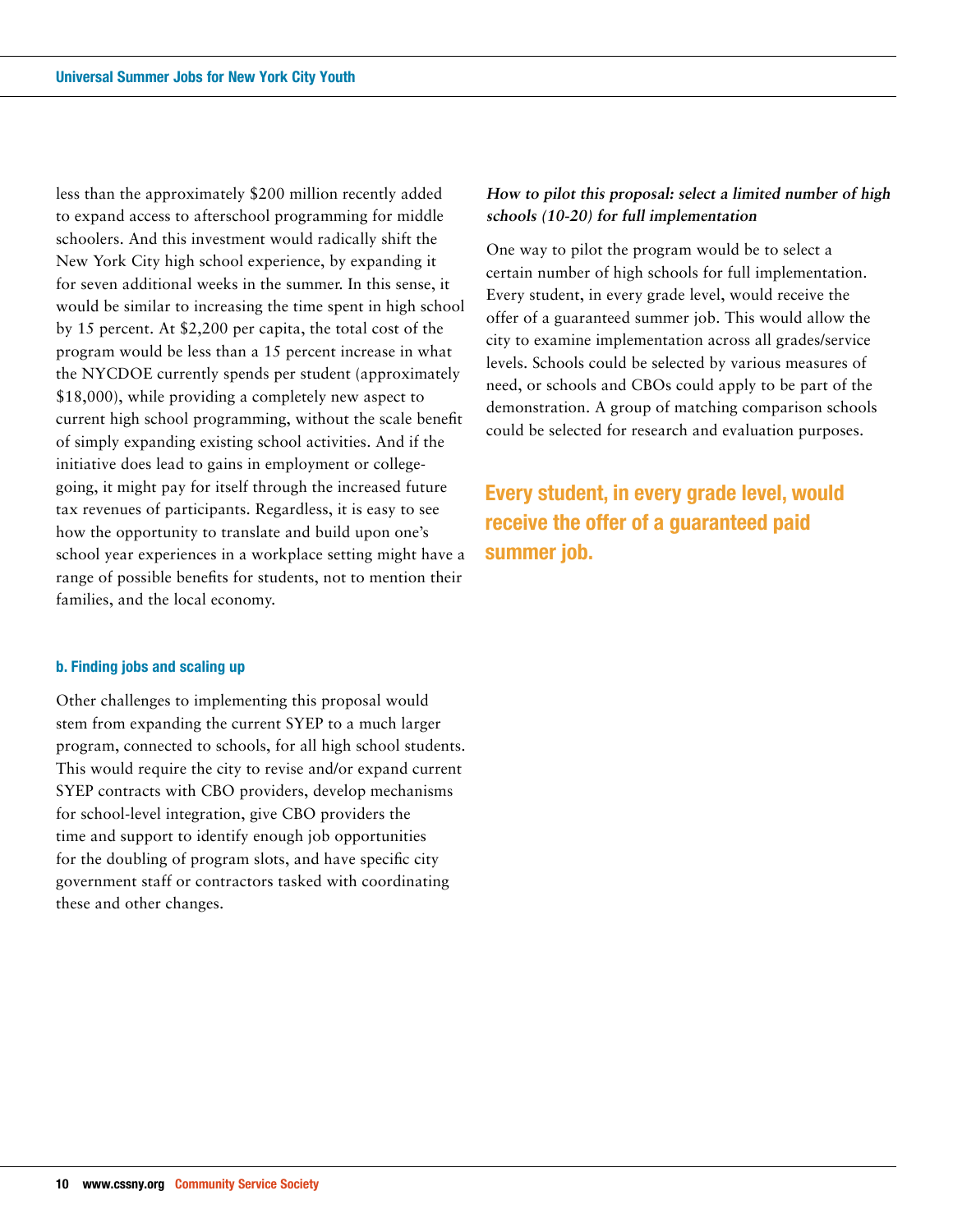less than the approximately \$200 million recently added to expand access to afterschool programming for middle schoolers. And this investment would radically shift the New York City high school experience, by expanding it for seven additional weeks in the summer. In this sense, it would be similar to increasing the time spent in high school by 15 percent. At \$2,200 per capita, the total cost of the program would be less than a 15 percent increase in what the NYCDOE currently spends per student (approximately \$18,000), while providing a completely new aspect to current high school programming, without the scale benefit of simply expanding existing school activities. And if the initiative does lead to gains in employment or collegegoing, it might pay for itself through the increased future tax revenues of participants. Regardless, it is easy to see how the opportunity to translate and build upon one's school year experiences in a workplace setting might have a range of possible benefits for students, not to mention their families, and the local economy.

## **b. Finding jobs and scaling up**

Other challenges to implementing this proposal would stem from expanding the current SYEP to a much larger program, connected to schools, for all high school students. This would require the city to revise and/or expand current SYEP contracts with CBO providers, develop mechanisms for school-level integration, give CBO providers the time and support to identify enough job opportunities for the doubling of program slots, and have specific city government staff or contractors tasked with coordinating these and other changes.

## **How to pilot this proposal: select a limited number of high schools (10-20) for full implementation**

One way to pilot the program would be to select a certain number of high schools for full implementation. Every student, in every grade level, would receive the offer of a guaranteed summer job. This would allow the city to examine implementation across all grades/service levels. Schools could be selected by various measures of need, or schools and CBOs could apply to be part of the demonstration. A group of matching comparison schools could be selected for research and evaluation purposes.

**Every student, in every grade level, would receive the offer of a guaranteed paid summer job.**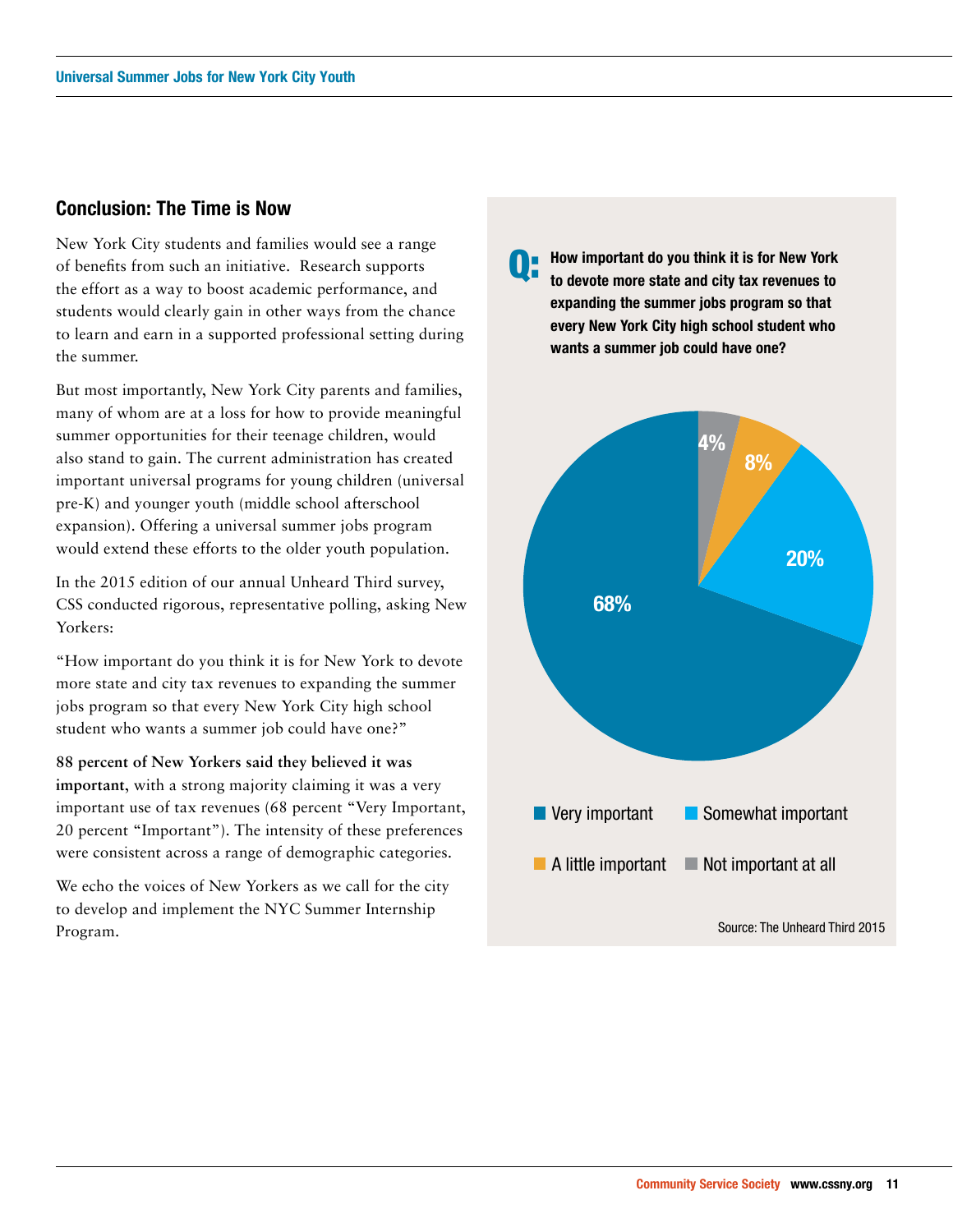## **Conclusion: The Time is Now**

New York City students and families would see a range of benefits from such an initiative. Research supports the effort as a way to boost academic performance, and students would clearly gain in other ways from the chance to learn and earn in a supported professional setting during the summer.

But most importantly, New York City parents and families, many of whom are at a loss for how to provide meaningful summer opportunities for their teenage children, would also stand to gain. The current administration has created important universal programs for young children (universal pre-K) and younger youth (middle school afterschool expansion). Offering a universal summer jobs program would extend these efforts to the older youth population.

In the 2015 edition of our annual Unheard Third survey, CSS conducted rigorous, representative polling, asking New Yorkers:

"How important do you think it is for New York to devote more state and city tax revenues to expanding the summer jobs program so that every New York City high school student who wants a summer job could have one?"

**88 percent of New Yorkers said they believed it was important**, with a strong majority claiming it was a very important use of tax revenues (68 percent "Very Important, 20 percent "Important"). The intensity of these preferences were consistent across a range of demographic categories.

We echo the voices of New Yorkers as we call for the city to develop and implement the NYC Summer Internship Program.

**How important do you think it is for New York to devote more state and city tax revenues to expanding the summer jobs program so that every New York City high school student who wants a summer job could have one?** Q:

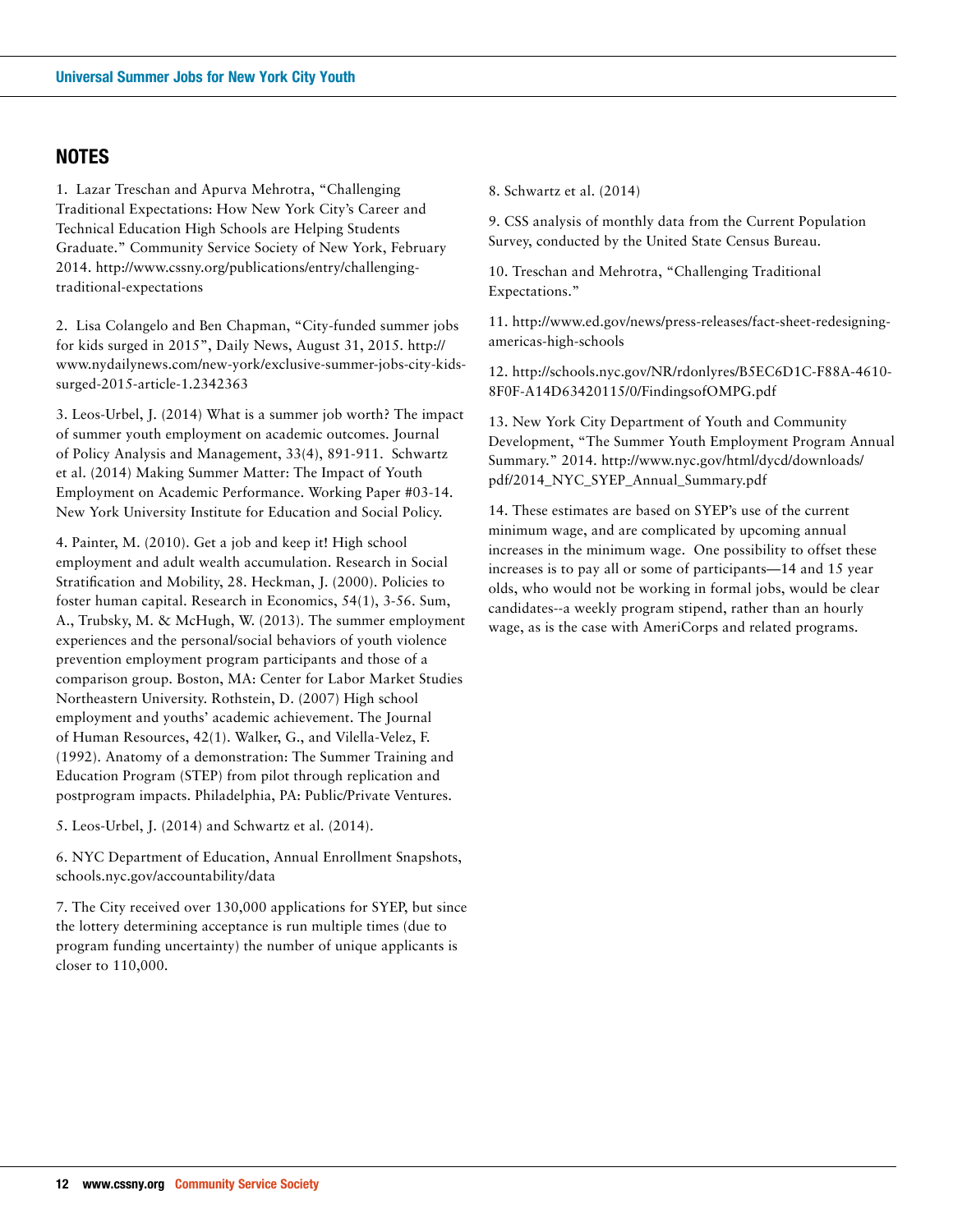# **NOTES**

1. Lazar Treschan and Apurva Mehrotra, "Challenging Traditional Expectations: How New York City's Career and Technical Education High Schools are Helping Students Graduate." Community Service Society of New York, February 2014. http://www.cssny.org/publications/entry/challengingtraditional-expectations

2. Lisa Colangelo and Ben Chapman, "City-funded summer jobs for kids surged in 2015", Daily News, August 31, 2015. http:// www.nydailynews.com/new-york/exclusive-summer-jobs-city-kidssurged-2015-article-1.2342363

3. Leos-Urbel, J. (2014) What is a summer job worth? The impact of summer youth employment on academic outcomes. Journal of Policy Analysis and Management, 33(4), 891-911. Schwartz et al. (2014) Making Summer Matter: The Impact of Youth Employment on Academic Performance. Working Paper #03-14. New York University Institute for Education and Social Policy.

4. Painter, M. (2010). Get a job and keep it! High school employment and adult wealth accumulation. Research in Social Stratification and Mobility, 28. Heckman, J. (2000). Policies to foster human capital. Research in Economics, 54(1), 3-56. Sum, A., Trubsky, M. & McHugh, W. (2013). The summer employment experiences and the personal/social behaviors of youth violence prevention employment program participants and those of a comparison group. Boston, MA: Center for Labor Market Studies Northeastern University. Rothstein, D. (2007) High school employment and youths' academic achievement. The Journal of Human Resources, 42(1). Walker, G., and Vilella-Velez, F. (1992). Anatomy of a demonstration: The Summer Training and Education Program (STEP) from pilot through replication and postprogram impacts. Philadelphia, PA: Public/Private Ventures.

5. Leos-Urbel, J. (2014) and Schwartz et al. (2014).

6. NYC Department of Education, Annual Enrollment Snapshots, schools.nyc.gov/accountability/data

7. The City received over 130,000 applications for SYEP, but since the lottery determining acceptance is run multiple times (due to program funding uncertainty) the number of unique applicants is closer to 110,000.

8. Schwartz et al. (2014)

9. CSS analysis of monthly data from the Current Population Survey, conducted by the United State Census Bureau.

10. Treschan and Mehrotra, "Challenging Traditional Expectations."

11. http://www.ed.gov/news/press-releases/fact-sheet-redesigningamericas-high-schools

12. http://schools.nyc.gov/NR/rdonlyres/B5EC6D1C-F88A-4610- 8F0F-A14D63420115/0/FindingsofOMPG.pdf

13. New York City Department of Youth and Community Development, "The Summer Youth Employment Program Annual Summary." 2014. http://www.nyc.gov/html/dycd/downloads/ pdf/2014\_NYC\_SYEP\_Annual\_Summary.pdf

14. These estimates are based on SYEP's use of the current minimum wage, and are complicated by upcoming annual increases in the minimum wage. One possibility to offset these increases is to pay all or some of participants—14 and 15 year olds, who would not be working in formal jobs, would be clear candidates--a weekly program stipend, rather than an hourly wage, as is the case with AmeriCorps and related programs.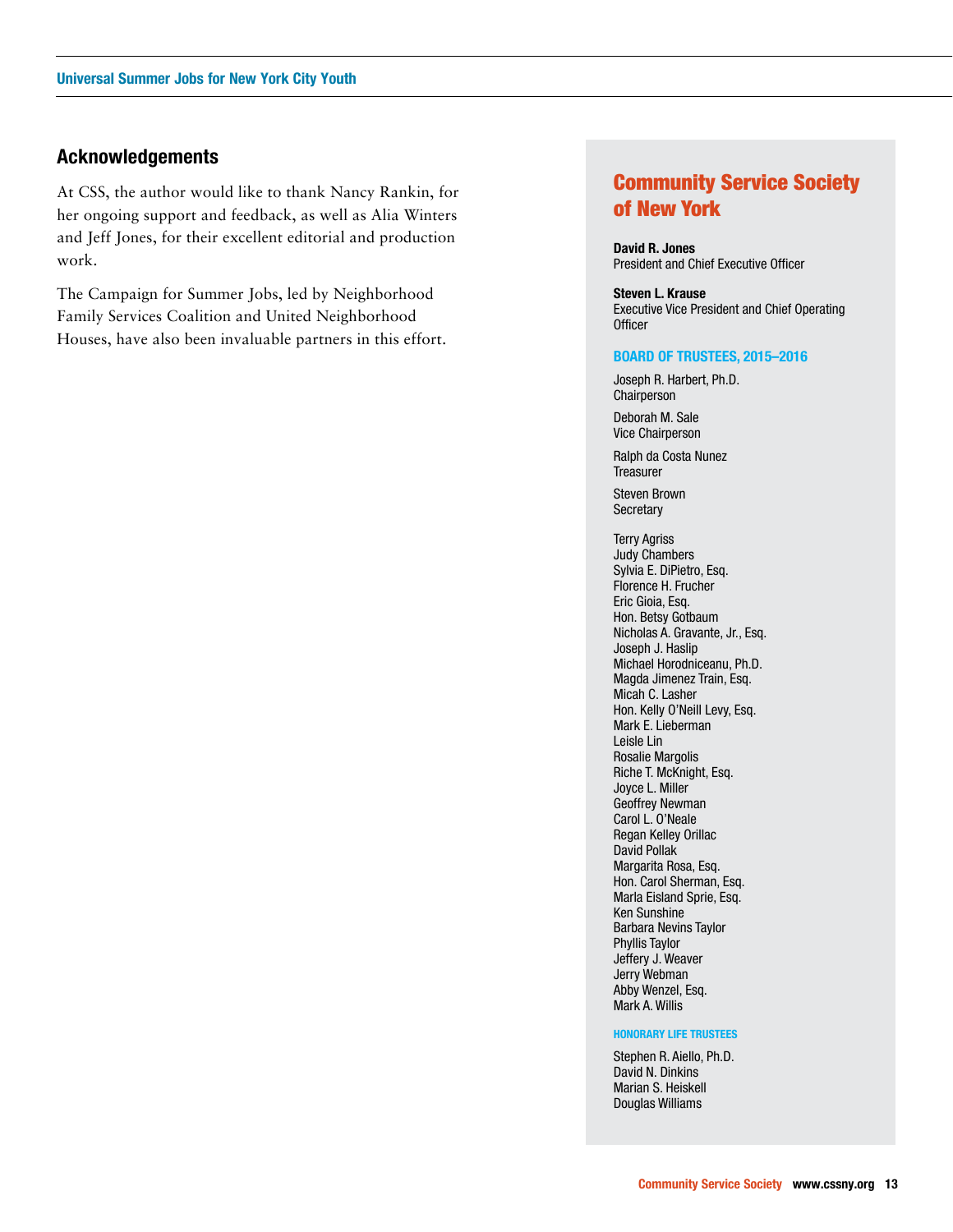## **Acknowledgements**

At CSS, the author would like to thank Nancy Rankin, for her ongoing support and feedback, as well as Alia Winters and Jeff Jones, for their excellent editorial and production work.

The Campaign for Summer Jobs, led by Neighborhood Family Services Coalition and United Neighborhood Houses, have also been invaluable partners in this effort.

# Community Service Society of New York

**David R. Jones** President and Chief Executive Officer

**Steven L. Krause** Executive Vice President and Chief Operating **Officer** 

#### **BOARD OF TRUSTEES, 2015–2016**

Joseph R. Harbert, Ph.D. Chairperson

Deborah M. Sale Vice Chairperson

Ralph da Costa Nunez **Treasurer** 

Steven Brown **Secretary** 

Terry Agriss Judy Chambers Sylvia E. DiPietro, Esq. Florence H. Frucher Eric Gioia, Esq. Hon. Betsy Gotbaum Nicholas A. Gravante, Jr., Esq. Joseph J. Haslip Michael Horodniceanu, Ph.D. Magda Jimenez Train, Esq. Micah C. Lasher Hon. Kelly O'Neill Levy, Esq. Mark E. Lieberman Leisle Lin Rosalie Margolis Riche T. McKnight, Esq. Joyce L. Miller Geoffrey Newman Carol L. O'Neale Regan Kelley Orillac David Pollak Margarita Rosa, Esq. Hon. Carol Sherman, Esq. Marla Eisland Sprie, Esq. Ken Sunshine Barbara Nevins Taylor Phyllis Taylor Jeffery J. Weaver Jerry Webman Abby Wenzel, Esq. Mark A. Willis

#### **HONORARY LIFE TRUSTEES**

Stephen R. Aiello, Ph.D. David N. Dinkins Marian S. Heiskell Douglas Williams